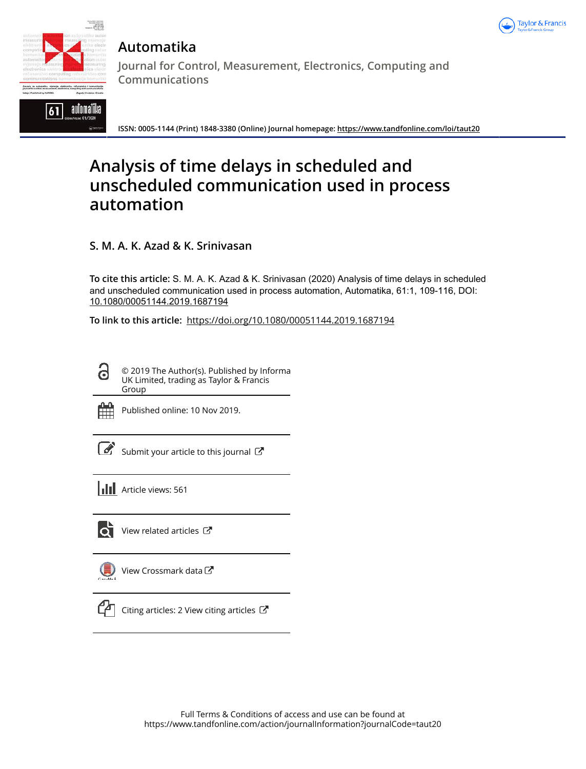



**Automatika**

**Journal for Control, Measurement, Electronics, Computing and Communications**

**ISSN: 0005-1144 (Print) 1848-3380 (Online) Journal homepage: https://www.tandfonline.com/loi/taut20**

# **Analysis of time delays in scheduled and unscheduled communication used in process automation**

**S. M. A. K. Azad & K. Srinivasan**

**To cite this article:** S. M. A. K. Azad & K. Srinivasan (2020) Analysis of time delays in scheduled and unscheduled communication used in process automation, Automatika, 61:1, 109-116, DOI: 10.1080/00051144.2019.1687194

**To link to this article:** https://doi.org/10.1080/00051144.2019.1687194

© 2019 The Author(s). Published by Informa UK Limited, trading as Taylor & Francis Group



Θ

Published online: 10 Nov 2019.

Submit your article to this journal  $\mathbb{Z}$ 

**III** Article views: 561



 $\bullet$  View related articles  $\bullet$ 

| Viev |
|------|
|      |

v Crossmark data $\mathbb{Z}$ 



Citing articles: 2 View citing articles  $\mathbb{Z}$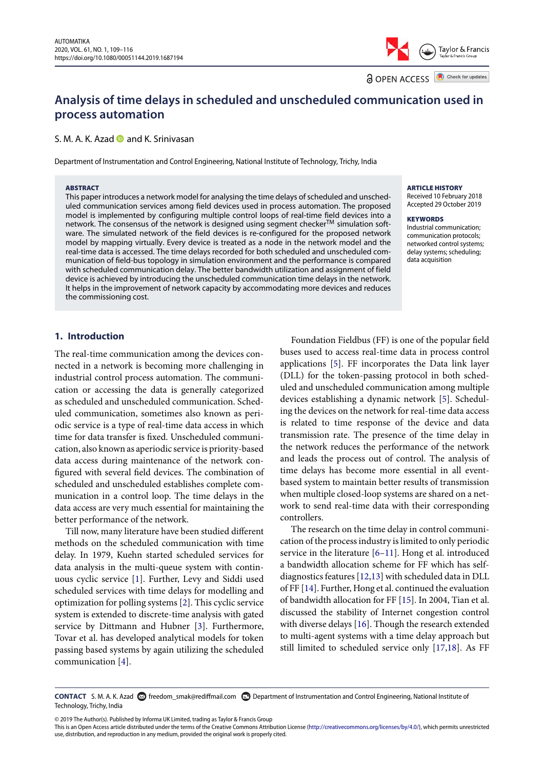Taylor & Francis

**a** OPEN ACCESS **a** Check for updates

# **Analysis of time delays in scheduled and unscheduled communication used in process automation**

#### S. M. A. K. Azad  $\bullet$  and K. Srinivasan

Department of Instrumentation and Control Engineering, National Institute of Technology, Trichy, India

#### ABSTRACT

This paper introduces a network model for analysing the time delays of scheduled and unscheduled communication services among field devices used in process automation. The proposed model is implemented by configuring multiple control loops of real-time field devices into a network. The consensus of the network is designed using segment checker<sup>TM</sup> simulation software. The simulated network of the field devices is re-configured for the proposed network model by mapping virtually. Every device is treated as a node in the network model and the real-time data is accessed. The time delays recorded for both scheduled and unscheduled communication of field-bus topology in simulation environment and the performance is compared with scheduled communication delay. The better bandwidth utilization and assignment of field device is achieved by introducing the unscheduled communication time delays in the network. It helps in the improvement of network capacity by accommodating more devices and reduces the commissioning cost.

#### ARTICLE HISTORY

Received 10 February 2018 Accepted 29 October 2019

#### **KEYWORDS**

Industrial communication; communication protocols; networked control systems; delay systems; scheduling; data acquisition

# **1. Introduction**

The real-time communication among the devices connected in a network is becoming more challenging in industrial control process automation. The communication or accessing the data is generally categorized as scheduled and unscheduled communication. Scheduled communication, sometimes also known as periodic service is a type of real-time data access in which time for data transfer is fixed. Unscheduled communication, also known as aperiodic service is priority-based data access during maintenance of the network configured with several field devices. The combination of scheduled and unscheduled establishes complete communication in a control loop. The time delays in the data access are very much essential for maintaining the better performance of the network.

Till now, many literature have been studied different methods on the scheduled communication with time delay. In 1979, Kuehn started scheduled services for data analysis in the multi-queue system with continuous cyclic service [1]. Further, Levy and Siddi used scheduled services with time delays for modelling and optimization for polling systems [2]. This cyclic service system is extended to discrete-time analysis with gated service by Dittmann and Hubner [3]. Furthermore, Tovar et al. has developed analytical models for token passing based systems by again utilizing the scheduled communication [4].

Foundation Fieldbus (FF) is one of the popular field buses used to access real-time data in process control applications [5]. FF incorporates the Data link layer (DLL) for the token-passing protocol in both scheduled and unscheduled communication among multiple devices establishing a dynamic network [5]. Scheduling the devices on the network for real-time data access is related to time response of the device and data transmission rate. The presence of the time delay in the network reduces the performance of the network and leads the process out of control. The analysis of time delays has become more essential in all eventbased system to maintain better results of transmission when multiple closed-loop systems are shared on a network to send real-time data with their corresponding controllers.

The research on the time delay in control communication of the process industry is limited to only periodic service in the literature [6–11]. Hong et al. introduced a bandwidth allocation scheme for FF which has selfdiagnostics features [12,13] with scheduled data in DLL of FF [14]. Further, Hong et al. continued the evaluation of bandwidth allocation for FF [15]. In 2004, Tian et al. discussed the stability of Internet congestion control with diverse delays [16]. Though the research extended to multi-agent systems with a time delay approach but still limited to scheduled service only [17,18]. As FF

**CONTACT** S. M. A. K. Azad **C** freedom\_smak@rediffmail.com **C** Department of Instrumentation and Control Engineering, National Institute of Technology, Trichy, India

© 2019 The Author(s). Published by Informa UK Limited, trading as Taylor & Francis Group

This is an Open Access article distributed under the terms of the Creative Commons Attribution License (http://creativecommons.org/licenses/by/4.0/), which permits unrestricted use, distribution, and reproduction in any medium, provided the original work is properly cited.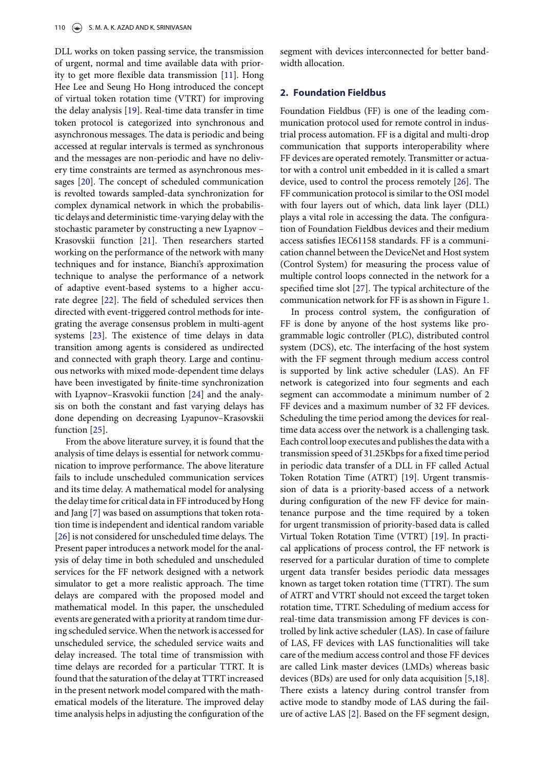DLL works on token passing service, the transmission of urgent, normal and time available data with priority to get more flexible data transmission [11]. Hong Hee Lee and Seung Ho Hong introduced the concept of virtual token rotation time (VTRT) for improving the delay analysis [19]. Real-time data transfer in time token protocol is categorized into synchronous and asynchronous messages. The data is periodic and being accessed at regular intervals is termed as synchronous and the messages are non-periodic and have no delivery time constraints are termed as asynchronous messages [20]. The concept of scheduled communication is revolted towards sampled-data synchronization for complex dynamical network in which the probabilistic delays and deterministic time-varying delay with the stochastic parameter by constructing a new Lyapnov – Krasovskii function [21]. Then researchers started working on the performance of the network with many techniques and for instance, Bianchi's approximation technique to analyse the performance of a network of adaptive event-based systems to a higher accurate degree [22]. The field of scheduled services then directed with event-triggered control methods for integrating the average consensus problem in multi-agent systems [23]. The existence of time delays in data transition among agents is considered as undirected and connected with graph theory. Large and continuous networks with mixed mode-dependent time delays have been investigated by finite-time synchronization with Lyapnov–Krasvokii function [24] and the analysis on both the constant and fast varying delays has done depending on decreasing Lyapunov–Krasovskii function [25].

From the above literature survey, it is found that the analysis of time delays is essential for network communication to improve performance. The above literature fails to include unscheduled communication services and its time delay. A mathematical model for analysing the delay time for critical data in FF introduced by Hong and Jang [7] was based on assumptions that token rotation time is independent and identical random variable [26] is not considered for unscheduled time delays. The Present paper introduces a network model for the analysis of delay time in both scheduled and unscheduled services for the FF network designed with a network simulator to get a more realistic approach. The time delays are compared with the proposed model and mathematical model. In this paper, the unscheduled events are generated with a priority at random time during scheduled service.When the network is accessed for unscheduled service, the scheduled service waits and delay increased. The total time of transmission with time delays are recorded for a particular TTRT. It is found that the saturation of the delay at TTRT increased in the present network model compared with the mathematical models of the literature. The improved delay time analysis helps in adjusting the configuration of the

segment with devices interconnected for better bandwidth allocation.

#### **2. Foundation Fieldbus**

Foundation Fieldbus (FF) is one of the leading communication protocol used for remote control in industrial process automation. FF is a digital and multi-drop communication that supports interoperability where FF devices are operated remotely. Transmitter or actuator with a control unit embedded in it is called a smart device, used to control the process remotely [26]. The FF communication protocol is similar to the OSI model with four layers out of which, data link layer (DLL) plays a vital role in accessing the data. The configuration of Foundation Fieldbus devices and their medium access satisfies IEC61158 standards. FF is a communication channel between the DeviceNet and Host system (Control System) for measuring the process value of multiple control loops connected in the network for a specified time slot [27]. The typical architecture of the communication network for FF is as shown in Figure 1.

In process control system, the configuration of FF is done by anyone of the host systems like programmable logic controller (PLC), distributed control system (DCS), etc. The interfacing of the host system with the FF segment through medium access control is supported by link active scheduler (LAS). An FF network is categorized into four segments and each segment can accommodate a minimum number of 2 FF devices and a maximum number of 32 FF devices. Scheduling the time period among the devices for realtime data access over the network is a challenging task. Each control loop executes and publishes the data with a transmission speed of 31.25Kbps for a fixed time period in periodic data transfer of a DLL in FF called Actual Token Rotation Time (ATRT) [19]. Urgent transmission of data is a priority-based access of a network during configuration of the new FF device for maintenance purpose and the time required by a token for urgent transmission of priority-based data is called Virtual Token Rotation Time (VTRT) [19]. In practical applications of process control, the FF network is reserved for a particular duration of time to complete urgent data transfer besides periodic data messages known as target token rotation time (TTRT). The sum of ATRT and VTRT should not exceed the target token rotation time, TTRT. Scheduling of medium access for real-time data transmission among FF devices is controlled by link active scheduler (LAS). In case of failure of LAS, FF devices with LAS functionalities will take care of the medium access control and those FF devices are called Link master devices (LMDs) whereas basic devices (BDs) are used for only data acquisition [5,18]. There exists a latency during control transfer from active mode to standby mode of LAS during the failure of active LAS [2]. Based on the FF segment design,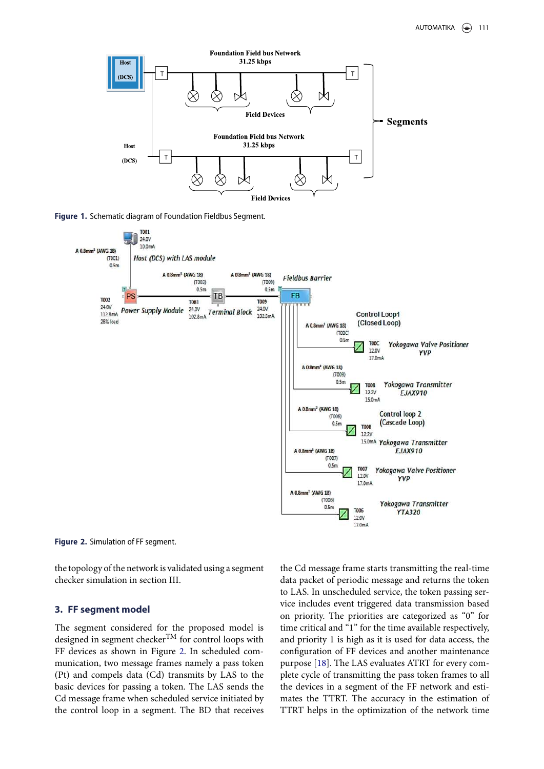

**Figure 1.** Schematic diagram of Foundation Fieldbus Segment.



**Figure 2.** Simulation of FF segment.

the topology of the network is validated using a segment checker simulation in section III.

#### **3. FF segment model**

The segment considered for the proposed model is designed in segment checker  $T^M$  for control loops with FF devices as shown in Figure 2. In scheduled communication, two message frames namely a pass token (Pt) and compels data (Cd) transmits by LAS to the basic devices for passing a token. The LAS sends the Cd message frame when scheduled service initiated by the control loop in a segment. The BD that receives

the Cd message frame starts transmitting the real-time data packet of periodic message and returns the token to LAS. In unscheduled service, the token passing service includes event triggered data transmission based on priority. The priorities are categorized as "0" for time critical and "1" for the time available respectively, and priority 1 is high as it is used for data access, the configuration of FF devices and another maintenance purpose [18]. The LAS evaluates ATRT for every complete cycle of transmitting the pass token frames to all the devices in a segment of the FF network and estimates the TTRT. The accuracy in the estimation of TTRT helps in the optimization of the network time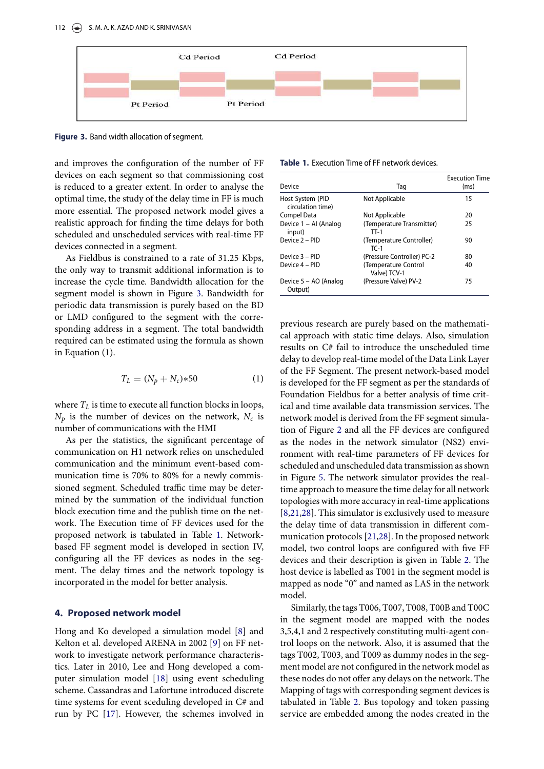

**Figure 3.** Band width allocation of segment.

and improves the configuration of the number of FF devices on each segment so that commissioning cost is reduced to a greater extent. In order to analyse the optimal time, the study of the delay time in FF is much more essential. The proposed network model gives a realistic approach for finding the time delays for both scheduled and unscheduled services with real-time FF devices connected in a segment.

As Fieldbus is constrained to a rate of 31.25 Kbps, the only way to transmit additional information is to increase the cycle time. Bandwidth allocation for the segment model is shown in Figure 3. Bandwidth for periodic data transmission is purely based on the BD or LMD configured to the segment with the corresponding address in a segment. The total bandwidth required can be estimated using the formula as shown in Equation (1).

$$
T_L = (N_p + N_c) \ast 50 \tag{1}
$$

where  $T_L$  is time to execute all function blocks in loops,  $N_p$  is the number of devices on the network,  $N_c$  is number of communications with the HMI

As per the statistics, the significant percentage of communication on H1 network relies on unscheduled communication and the minimum event-based communication time is 70% to 80% for a newly commissioned segment. Scheduled traffic time may be determined by the summation of the individual function block execution time and the publish time on the network. The Execution time of FF devices used for the proposed network is tabulated in Table 1. Networkbased FF segment model is developed in section IV, configuring all the FF devices as nodes in the segment. The delay times and the network topology is incorporated in the model for better analysis.

#### **4. Proposed network model**

Hong and Ko developed a simulation model [8] and Kelton et al. developed ARENA in 2002 [9] on FF network to investigate network performance characteristics. Later in 2010, Lee and Hong developed a computer simulation model [18] using event scheduling scheme. Cassandras and Lafortune introduced discrete time systems for event sceduling developed in C# and run by PC [17]. However, the schemes involved in

#### **Table 1.** Execution Time of FF network devices.

| Device                                | Tag                                  | <b>Execution Time</b><br>(ms) |
|---------------------------------------|--------------------------------------|-------------------------------|
| Host System (PID<br>circulation time) | Not Applicable                       | 15                            |
| Compel Data                           | Not Applicable                       | 20                            |
| Device 1 - Al (Analog<br>input)       | (Temperature Transmitter)<br>$TT-1$  | 25                            |
| Device 2 - PID                        | (Temperature Controller)<br>$TC-1$   | 90                            |
| Device 3 - PID                        | (Pressure Controller) PC-2           | 80                            |
| Device 4 - PID                        | (Temperature Control<br>Valve) TCV-1 | 40                            |
| Device 5 – AO (Analog<br>Output)      | (Pressure Valve) PV-2                | 75                            |

previous research are purely based on the mathematical approach with static time delays. Also, simulation results on C# fail to introduce the unscheduled time delay to develop real-time model of the Data Link Layer of the FF Segment. The present network-based model is developed for the FF segment as per the standards of Foundation Fieldbus for a better analysis of time critical and time available data transmission services. The network model is derived from the FF segment simulation of Figure 2 and all the FF devices are configured as the nodes in the network simulator (NS2) environment with real-time parameters of FF devices for scheduled and unscheduled data transmission as shown in Figure 5. The network simulator provides the realtime approach to measure the time delay for all network topologies with more accuracy in real-time applications [8,21,28]. This simulator is exclusively used to measure the delay time of data transmission in different communication protocols [21,28]. In the proposed network model, two control loops are configured with five FF devices and their description is given in Table 2. The host device is labelled as T001 in the segment model is mapped as node "0" and named as LAS in the network model.

Similarly, the tags T006, T007, T008, T00B and T00C in the segment model are mapped with the nodes 3,5,4,1 and 2 respectively constituting multi-agent control loops on the network. Also, it is assumed that the tags T002, T003, and T009 as dummy nodes in the segment model are not configured in the network model as these nodes do not offer any delays on the network. The Mapping of tags with corresponding segment devices is tabulated in Table 2. Bus topology and token passing service are embedded among the nodes created in the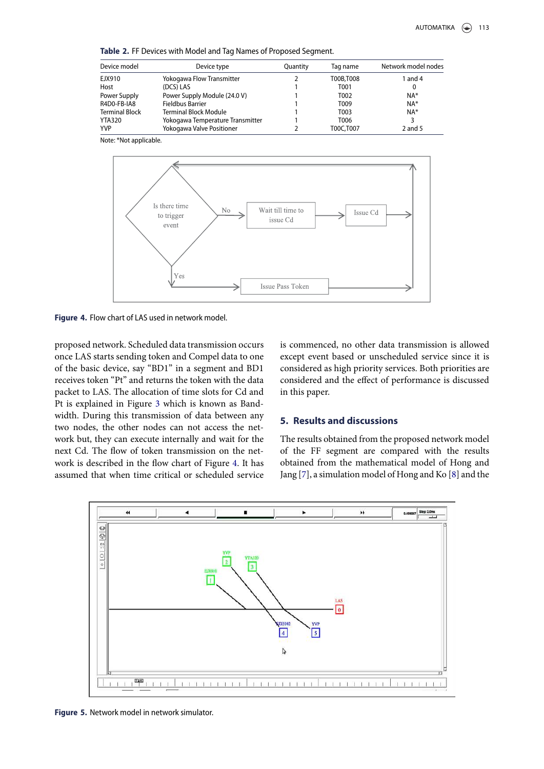**Table 2.** FF Devices with Model and Tag Names of Proposed Segment.

| Device model          | Device type                      | Quantity | Tag name         | Network model nodes |  |
|-----------------------|----------------------------------|----------|------------------|---------------------|--|
| EJX910                | Yokogawa Flow Transmitter        |          | T00B.T008        | 1 and 4             |  |
| Host                  | (DCS) LAS                        |          | T <sub>001</sub> | 0                   |  |
| Power Supply          | Power Supply Module (24.0 V)     |          | T002             | $NA*$               |  |
| R4D0-FB-IA8           | Fieldbus Barrier                 |          | T009             | $NA*$               |  |
| <b>Terminal Block</b> | <b>Terminal Block Module</b>     |          | T003             | $NA*$               |  |
| YTA320                | Yokogawa Temperature Transmitter |          | T006             |                     |  |
| <b>YVP</b>            | Yokogawa Valve Positioner        |          | T00C,T007        | $2$ and 5           |  |

Note: \*Not applicable.



**Figure 4.** Flow chart of LAS used in network model.

proposed network. Scheduled data transmission occurs once LAS starts sending token and Compel data to one of the basic device, say "BD1" in a segment and BD1 receives token "Pt" and returns the token with the data packet to LAS. The allocation of time slots for Cd and Pt is explained in Figure 3 which is known as Bandwidth. During this transmission of data between any two nodes, the other nodes can not access the network but, they can execute internally and wait for the next Cd. The flow of token transmission on the network is described in the flow chart of Figure 4. It has assumed that when time critical or scheduled service is commenced, no other data transmission is allowed except event based or unscheduled service since it is considered as high priority services. Both priorities are considered and the effect of performance is discussed in this paper.

### **5. Results and discussions**

The results obtained from the proposed network model of the FF segment are compared with the results obtained from the mathematical model of Hong and Jang [7], a simulation model of Hong and Ko [8] and the



**Figure 5.** Network model in network simulator.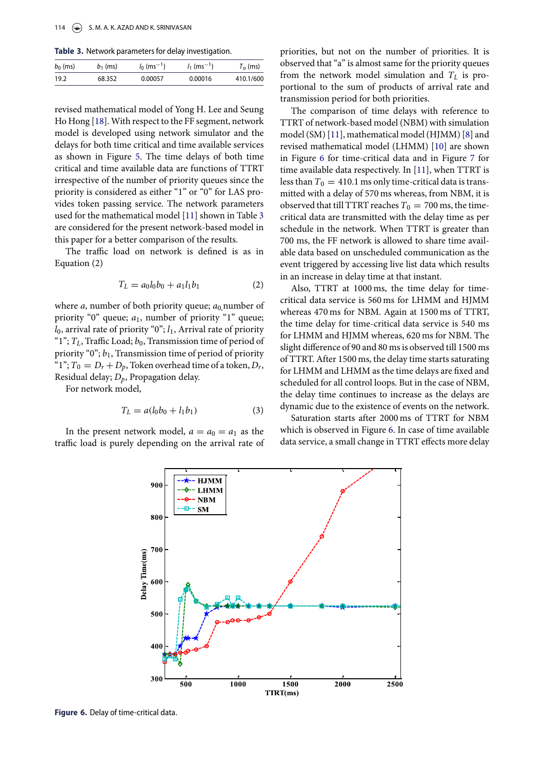**Table 3.** Network parameters for delay investigation.

| $b_0$ (ms) | $b_1$ (ms) | $I_0$ (ms <sup>-1</sup> ) | $l_1$ (ms <sup>-1</sup> ) | $T_0$ (ms) |
|------------|------------|---------------------------|---------------------------|------------|
| 19.2       | 68.352     | 0.00057                   | 0.00016                   | 410.1/600  |

revised mathematical model of Yong H. Lee and Seung Ho Hong [18]. With respect to the FF segment, network model is developed using network simulator and the delays for both time critical and time available services as shown in Figure 5. The time delays of both time critical and time available data are functions of TTRT irrespective of the number of priority queues since the priority is considered as either "1" or "0" for LAS provides token passing service. The network parameters used for the mathematical model [11] shown in Table 3 are considered for the present network-based model in this paper for a better comparison of the results.

The traffic load on network is defined is as in Equation (2)

$$
T_L = a_0 l_0 b_0 + a_1 l_1 b_1 \tag{2}
$$

where *a*, number of both priority queue;  $a_0$  number of priority "0" queue;  $a_1$ , number of priority "1" queue;  $l_0$ , arrival rate of priority "0";  $l_1$ , Arrival rate of priority "1";  $T_L$ , Traffic Load;  $b_0$ , Transmission time of period of priority "0";  $b_1$ , Transmission time of period of priority "1";  $T_0 = D_r + D_p$ , Token overhead time of a token,  $D_r$ , Residual delay;  $D_p$ , Propagation delay.

For network model,

$$
T_L = a(l_0b_0 + l_1b_1)
$$
 (3)

In the present network model,  $a = a_0 = a_1$  as the traffic load is purely depending on the arrival rate of priorities, but not on the number of priorities. It is observed that "a" is almost same for the priority queues from the network model simulation and  $T<sub>L</sub>$  is proportional to the sum of products of arrival rate and transmission period for both priorities.

The comparison of time delays with reference to TTRT of network-based model (NBM) with simulation model (SM) [11], mathematical model (HJMM) [8] and revised mathematical model (LHMM) [10] are shown in Figure 6 for time-critical data and in Figure 7 for time available data respectively. In [11], when TTRT is less than  $T_0 = 410.1$  ms only time-critical data is transmitted with a delay of 570 ms whereas, from NBM, it is observed that till TTRT reaches  $T_0 = 700$  ms, the timecritical data are transmitted with the delay time as per schedule in the network. When TTRT is greater than 700 ms, the FF network is allowed to share time available data based on unscheduled communication as the event triggered by accessing live list data which results in an increase in delay time at that instant.

Also, TTRT at 1000 ms, the time delay for timecritical data service is 560 ms for LHMM and HJMM whereas 470 ms for NBM. Again at 1500 ms of TTRT, the time delay for time-critical data service is 540 ms for LHMM and HJMM whereas, 620 ms for NBM. The slight difference of 90 and 80 ms is observed till 1500 ms of TTRT. After 1500 ms, the delay time starts saturating for LHMM and LHMM as the time delays are fixed and scheduled for all control loops. But in the case of NBM, the delay time continues to increase as the delays are dynamic due to the existence of events on the network.

Saturation starts after 2000 ms of TTRT for NBM which is observed in Figure 6. In case of time available data service, a small change in TTRT effects more delay



**Figure 6.** Delay of time-critical data.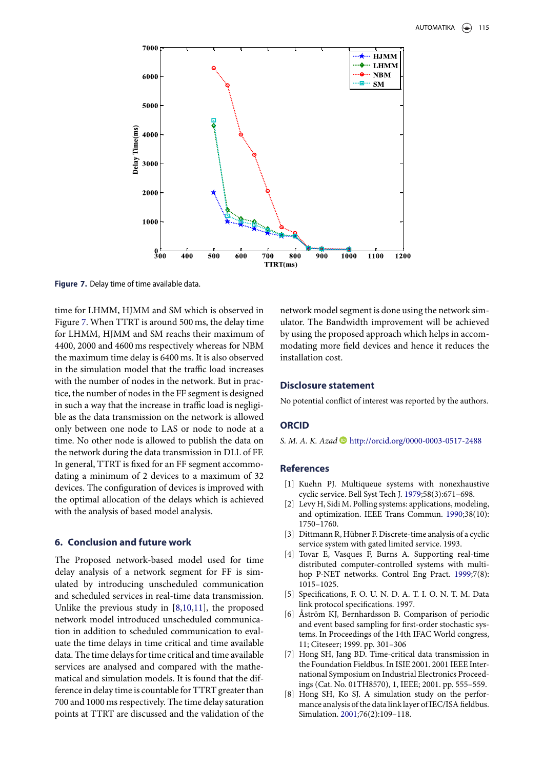

**Figure 7.** Delay time of time available data.

time for LHMM, HJMM and SM which is observed in Figure 7. When TTRT is around 500 ms, the delay time for LHMM, HJMM and SM reachs their maximum of 4400, 2000 and 4600 ms respectively whereas for NBM the maximum time delay is 6400 ms. It is also observed in the simulation model that the traffic load increases with the number of nodes in the network. But in practice, the number of nodes in the FF segment is designed in such a way that the increase in traffic load is negligible as the data transmission on the network is allowed only between one node to LAS or node to node at a time. No other node is allowed to publish the data on the network during the data transmission in DLL of FF. In general, TTRT is fixed for an FF segment accommodating a minimum of 2 devices to a maximum of 32 devices. The configuration of devices is improved with the optimal allocation of the delays which is achieved with the analysis of based model analysis.

#### **6. Conclusion and future work**

The Proposed network-based model used for time delay analysis of a network segment for FF is simulated by introducing unscheduled communication and scheduled services in real-time data transmission. Unlike the previous study in [8,10,11], the proposed network model introduced unscheduled communication in addition to scheduled communication to evaluate the time delays in time critical and time available data. The time delays for time critical and time available services are analysed and compared with the mathematical and simulation models. It is found that the difference in delay time is countable for TTRT greater than 700 and 1000 ms respectively. The time delay saturation points at TTRT are discussed and the validation of the

network model segment is done using the network simulator. The Bandwidth improvement will be achieved by using the proposed approach which helps in accommodating more field devices and hence it reduces the installation cost.

## **Disclosure statement**

No potential conflict of interest was reported by the authors.

#### **ORCID**

S. M. A. K. Azad  $\bullet$  http://orcid.org/0000-0003-0517-2488

#### **References**

- [1] Kuehn PJ. Multiqueue systems with nonexhaustive cyclic service. Bell Syst Tech J. 1979;58(3):671–698.
- [2] Levy H, Sidi M. Polling systems: applications, modeling, and optimization. IEEE Trans Commun. 1990;38(10): 1750–1760.
- [3] Dittmann R, Hübner F. Discrete-time analysis of a cyclic service system with gated limited service. 1993.
- [4] Tovar E, Vasques F, Burns A. Supporting real-time distributed computer-controlled systems with multihop P-NET networks. Control Eng Pract. 1999;7(8): 1015–1025.
- [5] Specifications, F. O. U. N. D. A. T. I. O. N. T. M. Data link protocol specifications. 1997.
- Åström KJ, Bernhardsson B. Comparison of periodic and event based sampling for first-order stochastic systems. In Proceedings of the 14th IFAC World congress, 11; Citeseer; 1999. pp. 301–306
- [7] Hong SH, Jang BD. Time-critical data transmission in the Foundation Fieldbus. In ISIE 2001. 2001 IEEE International Symposium on Industrial Electronics Proceedings (Cat. No. 01TH8570), 1, IEEE; 2001. pp. 555–559.
- [8] Hong SH, Ko SJ. A simulation study on the performance analysis of the data link layer of IEC/ISA fieldbus. Simulation. 2001;76(2):109–118.